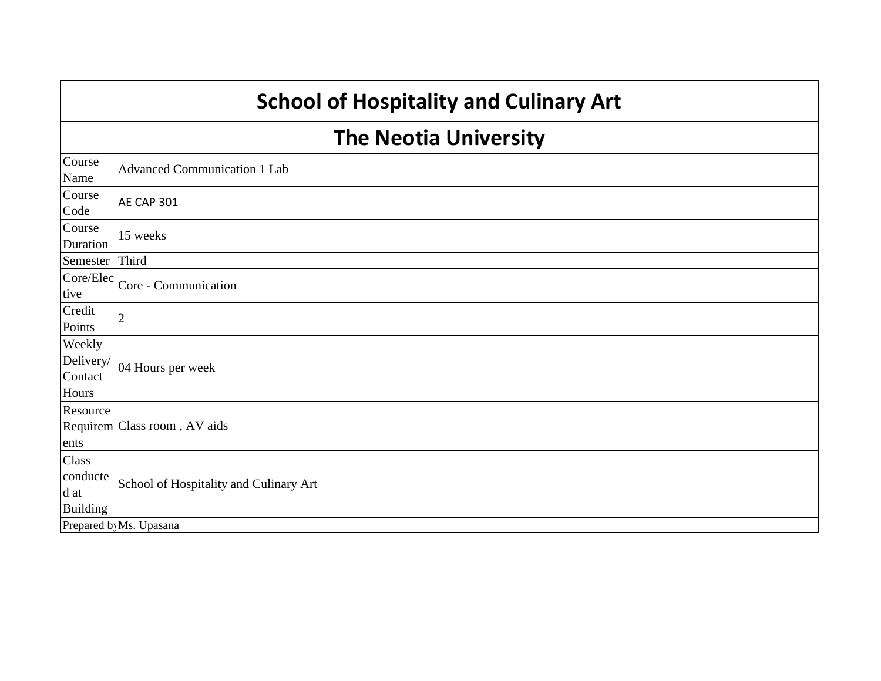# **School of Hospitality and Culinary Art**

## **The Neotia University**

| Course<br>Name                               | <b>Advanced Communication 1 Lab</b>                |
|----------------------------------------------|----------------------------------------------------|
| Course<br>Code                               | <b>AE CAP 301</b>                                  |
| Course<br>Duration                           | 15 weeks                                           |
| Semester                                     | Third                                              |
| tive                                         | $\overline{\text{Core/Elec}}$ Core - Communication |
| Credit<br>Points                             |                                                    |
| Weekly<br>Delivery/<br>Contact<br>Hours      | 04 Hours per week                                  |
| Resource<br>ents                             | Requirem Class room, AV aids                       |
| Class<br>conducte<br>d at<br><b>Building</b> | School of Hospitality and Culinary Art             |
|                                              | Prepared by Ms. Upasana                            |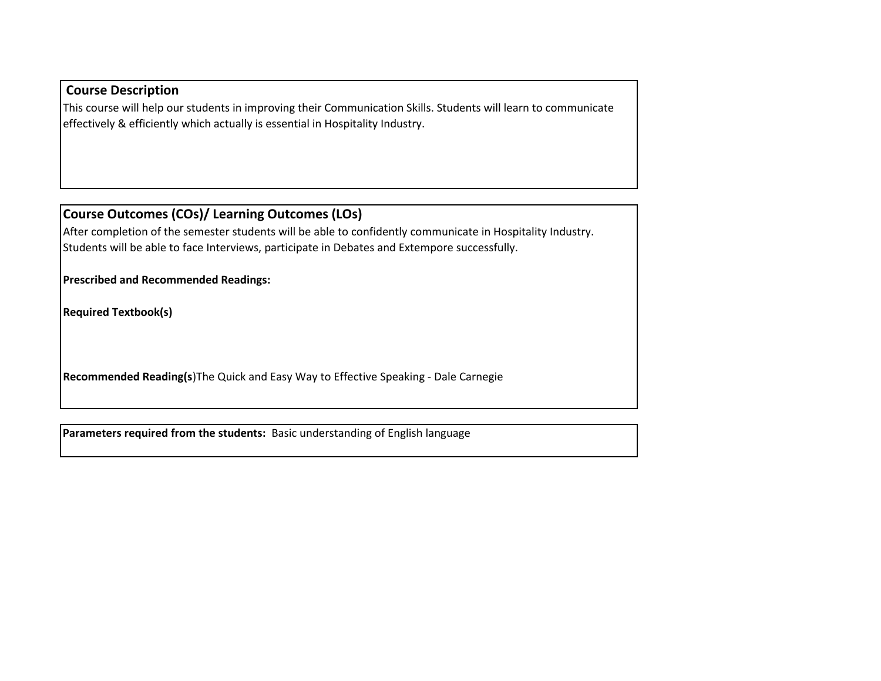#### **Course Description**

This course will help our students in improving their Communication Skills. Students will learn to communicate effectively & efficiently which actually is essential in Hospitality Industry.

### **Course Outcomes (COs)/ Learning Outcomes (LOs)**

After completion of the semester students will be able to confidently communicate in Hospitality Industry. Students will be able to face Interviews, participate in Debates and Extempore successfully.

**Prescribed and Recommended Readings:**

**Required Textbook(s)**

**Recommended Reading(s**)The Quick and Easy Way to Effective Speaking - Dale Carnegie

**Parameters required from the students:** Basic understanding of English language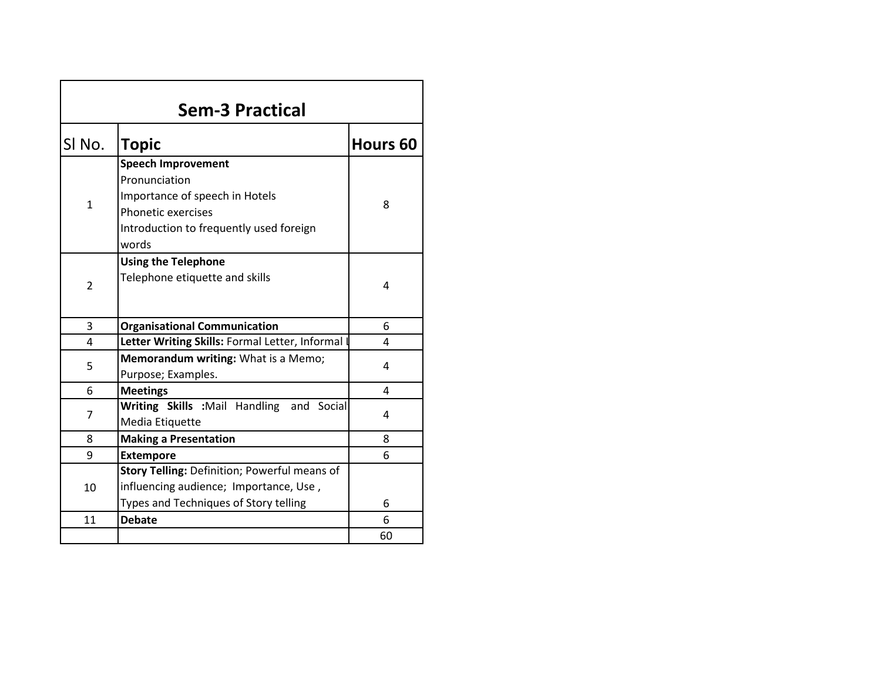| <b>Sem-3 Practical</b> |                                                                                                                                                        |          |  |  |  |  |  |
|------------------------|--------------------------------------------------------------------------------------------------------------------------------------------------------|----------|--|--|--|--|--|
| SI No.                 | <b>Topic</b>                                                                                                                                           | Hours 60 |  |  |  |  |  |
| 1                      | <b>Speech Improvement</b><br>Pronunciation<br>Importance of speech in Hotels<br>Phonetic exercises<br>Introduction to frequently used foreign<br>words | 8        |  |  |  |  |  |
| $\overline{2}$         | <b>Using the Telephone</b><br>Telephone etiquette and skills                                                                                           | 4        |  |  |  |  |  |
| 3                      | <b>Organisational Communication</b>                                                                                                                    | 6        |  |  |  |  |  |
| 4                      | Letter Writing Skills: Formal Letter, Informal I                                                                                                       | 4        |  |  |  |  |  |
| 5                      | Memorandum writing: What is a Memo;<br>Purpose; Examples.                                                                                              | 4        |  |  |  |  |  |
| 6                      | <b>Meetings</b>                                                                                                                                        | 4        |  |  |  |  |  |
| 7                      | Writing Skills :Mail Handling and Social<br>Media Etiquette                                                                                            | 4        |  |  |  |  |  |
| 8                      | <b>Making a Presentation</b>                                                                                                                           | 8        |  |  |  |  |  |
| 9                      | <b>Extempore</b>                                                                                                                                       | 6        |  |  |  |  |  |
| 10                     | Story Telling: Definition; Powerful means of<br>influencing audience; Importance, Use,<br>Types and Techniques of Story telling                        | 6        |  |  |  |  |  |
| 11                     | <b>Debate</b>                                                                                                                                          | 6        |  |  |  |  |  |
|                        |                                                                                                                                                        | 60       |  |  |  |  |  |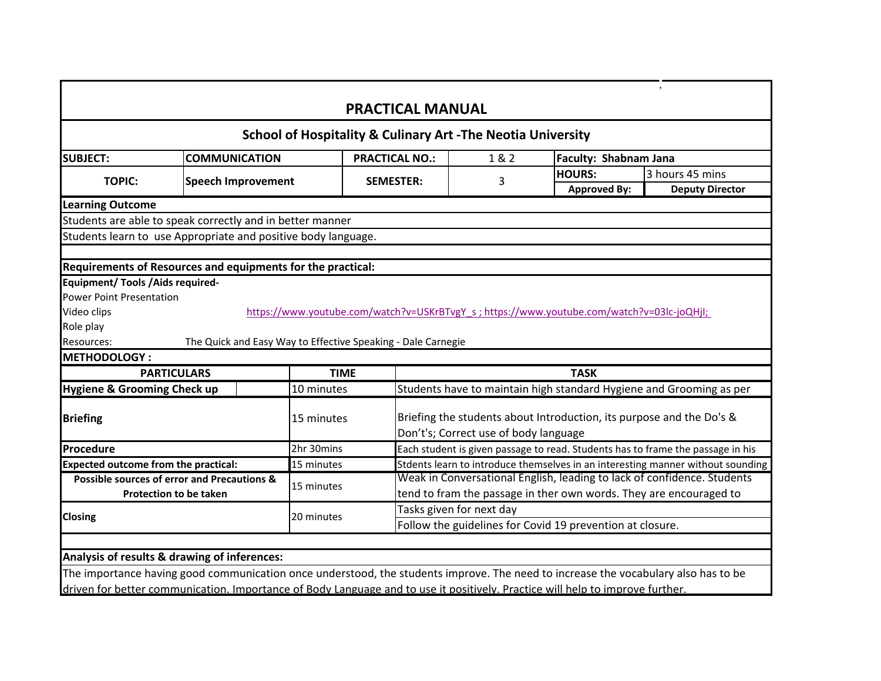| <b>PRACTICAL MANUAL</b>                                                                                                            |                           |             |                                                                                           |                                       |                                                                      |                                                                                 |  |  |
|------------------------------------------------------------------------------------------------------------------------------------|---------------------------|-------------|-------------------------------------------------------------------------------------------|---------------------------------------|----------------------------------------------------------------------|---------------------------------------------------------------------------------|--|--|
| <b>School of Hospitality &amp; Culinary Art - The Neotia University</b>                                                            |                           |             |                                                                                           |                                       |                                                                      |                                                                                 |  |  |
| <b>SUBJECT:</b><br><b>COMMUNICATION</b><br>1 & 2<br>Faculty: Shabnam Jana<br><b>PRACTICAL NO.:</b>                                 |                           |             |                                                                                           |                                       |                                                                      |                                                                                 |  |  |
| <b>HOURS:</b><br>3 hours 45 mins<br><b>TOPIC:</b>                                                                                  |                           |             |                                                                                           |                                       |                                                                      |                                                                                 |  |  |
|                                                                                                                                    | <b>Speech Improvement</b> |             | <b>SEMESTER:</b>                                                                          | 3                                     | <b>Approved By:</b>                                                  | <b>Deputy Director</b>                                                          |  |  |
| <b>Learning Outcome</b>                                                                                                            |                           |             |                                                                                           |                                       |                                                                      |                                                                                 |  |  |
| Students are able to speak correctly and in better manner                                                                          |                           |             |                                                                                           |                                       |                                                                      |                                                                                 |  |  |
| Students learn to use Appropriate and positive body language.                                                                      |                           |             |                                                                                           |                                       |                                                                      |                                                                                 |  |  |
|                                                                                                                                    |                           |             |                                                                                           |                                       |                                                                      |                                                                                 |  |  |
| Requirements of Resources and equipments for the practical:                                                                        |                           |             |                                                                                           |                                       |                                                                      |                                                                                 |  |  |
| <b>Equipment/ Tools / Aids required-</b>                                                                                           |                           |             |                                                                                           |                                       |                                                                      |                                                                                 |  |  |
| <b>Power Point Presentation</b>                                                                                                    |                           |             |                                                                                           |                                       |                                                                      |                                                                                 |  |  |
| Video clips                                                                                                                        |                           |             | https://www.youtube.com/watch?v=USKrBTvgY s; https://www.youtube.com/watch?v=03lc-joQHjI; |                                       |                                                                      |                                                                                 |  |  |
| Role play                                                                                                                          |                           |             |                                                                                           |                                       |                                                                      |                                                                                 |  |  |
| Resources:                                                                                                                         |                           |             | The Quick and Easy Way to Effective Speaking - Dale Carnegie                              |                                       |                                                                      |                                                                                 |  |  |
| <b>METHODOLOGY:</b>                                                                                                                |                           |             |                                                                                           |                                       |                                                                      |                                                                                 |  |  |
| <b>PARTICULARS</b>                                                                                                                 |                           | <b>TIME</b> |                                                                                           |                                       | <b>TASK</b>                                                          |                                                                                 |  |  |
| Hygiene & Grooming Check up                                                                                                        |                           | 10 minutes  |                                                                                           |                                       |                                                                      | Students have to maintain high standard Hygiene and Grooming as per             |  |  |
| <b>Briefing</b>                                                                                                                    |                           | 15 minutes  |                                                                                           | Don't's; Correct use of body language | Briefing the students about Introduction, its purpose and the Do's & |                                                                                 |  |  |
| Procedure                                                                                                                          |                           | 2hr 30mins  |                                                                                           |                                       |                                                                      | Each student is given passage to read. Students has to frame the passage in his |  |  |
| <b>Expected outcome from the practical:</b>                                                                                        |                           | 15 minutes  |                                                                                           |                                       |                                                                      | Stdents learn to introduce themselves in an interesting manner without sounding |  |  |
| Possible sources of error and Precautions &                                                                                        |                           | 15 minutes  |                                                                                           |                                       |                                                                      | Weak in Conversational English, leading to lack of confidence. Students         |  |  |
| <b>Protection to be taken</b>                                                                                                      |                           |             |                                                                                           |                                       |                                                                      | tend to fram the passage in ther own words. They are encouraged to              |  |  |
| Closing                                                                                                                            |                           | 20 minutes  |                                                                                           | Tasks given for next day              |                                                                      |                                                                                 |  |  |
|                                                                                                                                    |                           |             |                                                                                           |                                       | Follow the guidelines for Covid 19 prevention at closure.            |                                                                                 |  |  |
|                                                                                                                                    |                           |             |                                                                                           |                                       |                                                                      |                                                                                 |  |  |
| Analysis of results & drawing of inferences:                                                                                       |                           |             |                                                                                           |                                       |                                                                      |                                                                                 |  |  |
| The importance having good communication once understood, the students improve. The need to increase the vocabulary also has to be |                           |             |                                                                                           |                                       |                                                                      |                                                                                 |  |  |
| driven for better communication. Importance of Body Language and to use it positively. Practice will help to improve further.      |                           |             |                                                                                           |                                       |                                                                      |                                                                                 |  |  |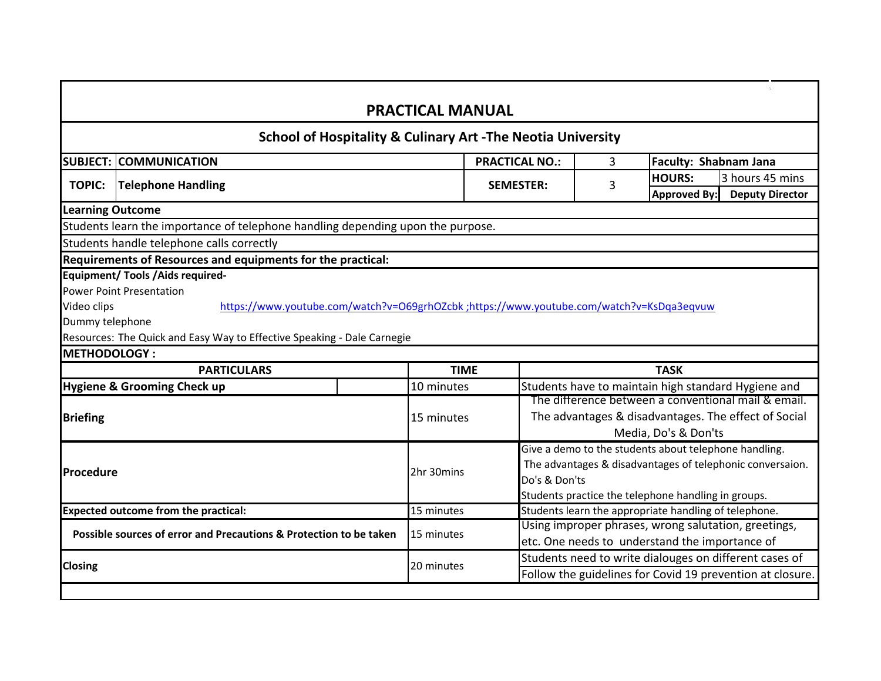| <b>PRACTICAL MANUAL</b>                                                 |                                                                                 |             |                                                                                                                                                      |                                                      |                                                                                   |  |  |  |
|-------------------------------------------------------------------------|---------------------------------------------------------------------------------|-------------|------------------------------------------------------------------------------------------------------------------------------------------------------|------------------------------------------------------|-----------------------------------------------------------------------------------|--|--|--|
| <b>School of Hospitality &amp; Culinary Art - The Neotia University</b> |                                                                                 |             |                                                                                                                                                      |                                                      |                                                                                   |  |  |  |
|                                                                         | <b>SUBJECT: COMMUNICATION</b>                                                   |             | <b>PRACTICAL NO.:</b><br><b>Faculty: Shabnam Jana</b><br>3                                                                                           |                                                      |                                                                                   |  |  |  |
| <b>TOPIC:</b>                                                           | <b>Telephone Handling</b>                                                       |             | <b>SEMESTER:</b>                                                                                                                                     |                                                      | 3 hours 45 mins<br><b>HOURS:</b><br><b>Approved By:</b><br><b>Deputy Director</b> |  |  |  |
| <b>Learning Outcome</b>                                                 |                                                                                 |             |                                                                                                                                                      |                                                      |                                                                                   |  |  |  |
|                                                                         | Students learn the importance of telephone handling depending upon the purpose. |             |                                                                                                                                                      |                                                      |                                                                                   |  |  |  |
|                                                                         | Students handle telephone calls correctly                                       |             |                                                                                                                                                      |                                                      |                                                                                   |  |  |  |
|                                                                         | Requirements of Resources and equipments for the practical:                     |             |                                                                                                                                                      |                                                      |                                                                                   |  |  |  |
|                                                                         | Equipment/ Tools / Aids required-                                               |             |                                                                                                                                                      |                                                      |                                                                                   |  |  |  |
|                                                                         | <b>Power Point Presentation</b>                                                 |             |                                                                                                                                                      |                                                      |                                                                                   |  |  |  |
| Video clips                                                             |                                                                                 |             |                                                                                                                                                      |                                                      |                                                                                   |  |  |  |
| Dummy telephone                                                         |                                                                                 |             |                                                                                                                                                      |                                                      |                                                                                   |  |  |  |
|                                                                         | Resources: The Quick and Easy Way to Effective Speaking - Dale Carnegie         |             |                                                                                                                                                      |                                                      |                                                                                   |  |  |  |
| <b>METHODOLOGY:</b>                                                     |                                                                                 |             |                                                                                                                                                      |                                                      |                                                                                   |  |  |  |
|                                                                         | <b>PARTICULARS</b>                                                              | <b>TIME</b> |                                                                                                                                                      |                                                      | <b>TASK</b>                                                                       |  |  |  |
|                                                                         | Hygiene & Grooming Check up                                                     | 10 minutes  |                                                                                                                                                      |                                                      |                                                                                   |  |  |  |
|                                                                         |                                                                                 |             |                                                                                                                                                      |                                                      | The difference between a conventional mail & email.                               |  |  |  |
| <b>Briefing</b>                                                         |                                                                                 | 15 minutes  |                                                                                                                                                      | The advantages & disadvantages. The effect of Social |                                                                                   |  |  |  |
|                                                                         |                                                                                 |             | 3<br>https://www.youtube.com/watch?v=O69grhOZcbk ;https://www.youtube.com/watch?v=KsDqa3eqvuw<br>Students have to maintain high standard Hygiene and | Media, Do's & Don'ts                                 |                                                                                   |  |  |  |
|                                                                         |                                                                                 |             |                                                                                                                                                      |                                                      | Give a demo to the students about telephone handling.                             |  |  |  |
|                                                                         |                                                                                 | 2hr 30mins  |                                                                                                                                                      |                                                      | The advantages & disadvantages of telephonic conversaion.                         |  |  |  |
| Procedure                                                               |                                                                                 |             | Do's & Don'ts                                                                                                                                        |                                                      |                                                                                   |  |  |  |
|                                                                         |                                                                                 |             |                                                                                                                                                      |                                                      | Students practice the telephone handling in groups.                               |  |  |  |
|                                                                         | <b>Expected outcome from the practical:</b>                                     | 15 minutes  |                                                                                                                                                      |                                                      | Students learn the appropriate handling of telephone.                             |  |  |  |
|                                                                         | Possible sources of error and Precautions & Protection to be taken              | 15 minutes  |                                                                                                                                                      |                                                      | Using improper phrases, wrong salutation, greetings,                              |  |  |  |
|                                                                         |                                                                                 |             |                                                                                                                                                      |                                                      | etc. One needs to understand the importance of                                    |  |  |  |
|                                                                         |                                                                                 |             |                                                                                                                                                      |                                                      | Students need to write dialouges on different cases of                            |  |  |  |
| <b>Closing</b>                                                          |                                                                                 | 20 minutes  |                                                                                                                                                      |                                                      | Follow the guidelines for Covid 19 prevention at closure.                         |  |  |  |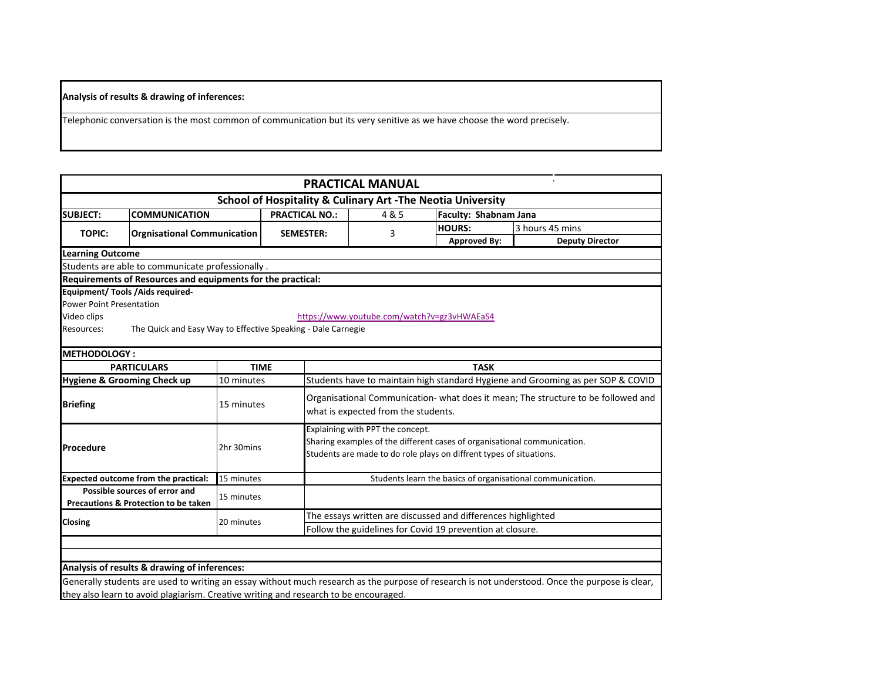#### **Analysis of results & drawing of inferences:**

Telephonic conversation is the most common of communication but its very senitive as we have choose the word precisely.

|                                                           |                                                                                                         |             |                       |                                                                                   | <b>PRACTICAL MANUAL</b>                     |                       |                                                                        |                                                                                                                                                |  |  |
|-----------------------------------------------------------|---------------------------------------------------------------------------------------------------------|-------------|-----------------------|-----------------------------------------------------------------------------------|---------------------------------------------|-----------------------|------------------------------------------------------------------------|------------------------------------------------------------------------------------------------------------------------------------------------|--|--|
|                                                           |                                                                                                         |             |                       |                                                                                   |                                             |                       | <b>School of Hospitality &amp; Culinary Art -The Neotia University</b> |                                                                                                                                                |  |  |
| <b>SUBJECT:</b>                                           | <b>COMMUNICATION</b>                                                                                    |             | <b>PRACTICAL NO.:</b> |                                                                                   | 4 & 5                                       | Faculty: Shabnam Jana |                                                                        |                                                                                                                                                |  |  |
| <b>TOPIC:</b>                                             |                                                                                                         |             |                       |                                                                                   | 3                                           |                       | <b>HOURS:</b>                                                          | 3 hours 45 mins                                                                                                                                |  |  |
|                                                           | <b>Orgnisational Communication</b><br><b>SEMESTER:</b><br><b>Approved By:</b><br><b>Deputy Director</b> |             |                       |                                                                                   |                                             |                       |                                                                        |                                                                                                                                                |  |  |
| <b>Learning Outcome</b>                                   |                                                                                                         |             |                       |                                                                                   |                                             |                       |                                                                        |                                                                                                                                                |  |  |
|                                                           | Students are able to communicate professionally.                                                        |             |                       |                                                                                   |                                             |                       |                                                                        |                                                                                                                                                |  |  |
|                                                           | Requirements of Resources and equipments for the practical:                                             |             |                       |                                                                                   |                                             |                       |                                                                        |                                                                                                                                                |  |  |
|                                                           | <b>Equipment/ Tools / Aids required-</b>                                                                |             |                       |                                                                                   |                                             |                       |                                                                        |                                                                                                                                                |  |  |
| <b>Power Point Presentation</b>                           |                                                                                                         |             |                       |                                                                                   |                                             |                       |                                                                        |                                                                                                                                                |  |  |
| Video clips                                               |                                                                                                         |             |                       |                                                                                   | https://www.youtube.com/watch?v=gz3vHWAEaS4 |                       |                                                                        |                                                                                                                                                |  |  |
| Resources:                                                | The Quick and Easy Way to Effective Speaking - Dale Carnegie                                            |             |                       |                                                                                   |                                             |                       |                                                                        |                                                                                                                                                |  |  |
|                                                           |                                                                                                         |             |                       |                                                                                   |                                             |                       |                                                                        |                                                                                                                                                |  |  |
| <b>METHODOLOGY:</b>                                       |                                                                                                         |             |                       |                                                                                   |                                             |                       |                                                                        |                                                                                                                                                |  |  |
|                                                           | <b>PARTICULARS</b>                                                                                      | <b>TIME</b> |                       |                                                                                   |                                             |                       | <b>TASK</b>                                                            |                                                                                                                                                |  |  |
|                                                           | Hygiene & Grooming Check up                                                                             | 10 minutes  |                       |                                                                                   |                                             |                       |                                                                        | Students have to maintain high standard Hygiene and Grooming as per SOP & COVID                                                                |  |  |
|                                                           |                                                                                                         |             |                       | Organisational Communication- what does it mean; The structure to be followed and |                                             |                       |                                                                        |                                                                                                                                                |  |  |
| <b>Briefing</b>                                           |                                                                                                         | 15 minutes  |                       | what is expected from the students.                                               |                                             |                       |                                                                        |                                                                                                                                                |  |  |
|                                                           |                                                                                                         |             |                       |                                                                                   | Explaining with PPT the concept.            |                       |                                                                        |                                                                                                                                                |  |  |
|                                                           |                                                                                                         |             |                       |                                                                                   |                                             |                       |                                                                        | Sharing examples of the different cases of organisational communication.                                                                       |  |  |
| Procedure                                                 |                                                                                                         | 2hr 30mins  |                       |                                                                                   |                                             |                       | Students are made to do role plays on diffrent types of situations.    |                                                                                                                                                |  |  |
|                                                           |                                                                                                         |             |                       |                                                                                   |                                             |                       |                                                                        |                                                                                                                                                |  |  |
|                                                           | <b>Expected outcome from the practical:</b>                                                             | 15 minutes  |                       |                                                                                   |                                             |                       |                                                                        | Students learn the basics of organisational communication.                                                                                     |  |  |
|                                                           | Possible sources of error and                                                                           | 15 minutes  |                       |                                                                                   |                                             |                       |                                                                        |                                                                                                                                                |  |  |
|                                                           | Precautions & Protection to be taken                                                                    |             |                       |                                                                                   |                                             |                       |                                                                        |                                                                                                                                                |  |  |
| Closing                                                   |                                                                                                         | 20 minutes  |                       |                                                                                   |                                             |                       | The essays written are discussed and differences highlighted           |                                                                                                                                                |  |  |
| Follow the guidelines for Covid 19 prevention at closure. |                                                                                                         |             |                       |                                                                                   |                                             |                       |                                                                        |                                                                                                                                                |  |  |
|                                                           |                                                                                                         |             |                       |                                                                                   |                                             |                       |                                                                        |                                                                                                                                                |  |  |
|                                                           |                                                                                                         |             |                       |                                                                                   |                                             |                       |                                                                        |                                                                                                                                                |  |  |
|                                                           | Analysis of results & drawing of inferences:                                                            |             |                       |                                                                                   |                                             |                       |                                                                        |                                                                                                                                                |  |  |
|                                                           |                                                                                                         |             |                       |                                                                                   |                                             |                       |                                                                        | Generally students are used to writing an essay without much research as the purpose of research is not understood. Once the purpose is clear, |  |  |
|                                                           | they also learn to avoid plagiarism. Creative writing and research to be encouraged.                    |             |                       |                                                                                   |                                             |                       |                                                                        |                                                                                                                                                |  |  |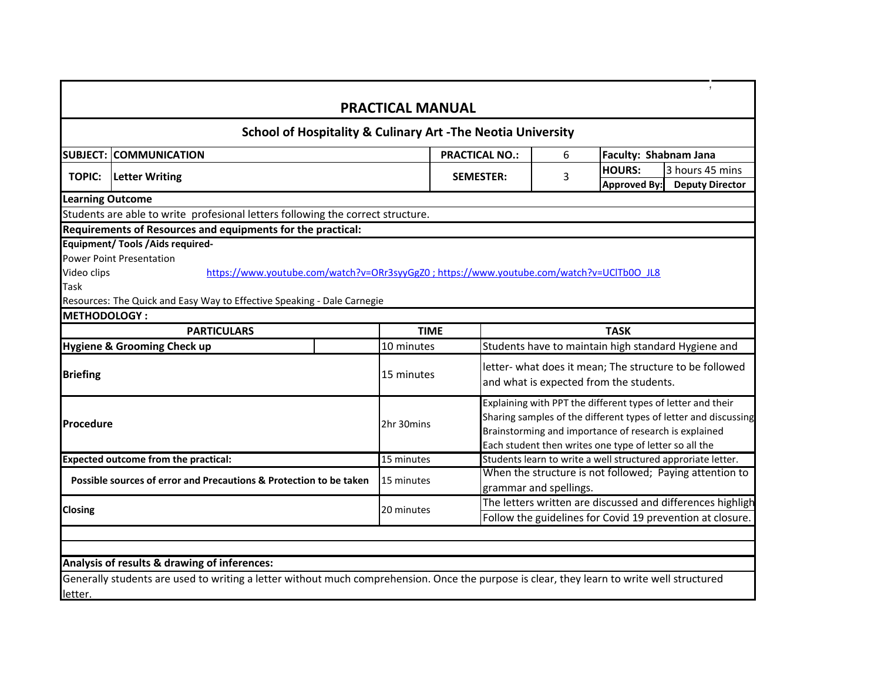|                                                                                                         | <b>PRACTICAL MANUAL</b> |             |                        |   |                                                                                                                                                                                                                                                   |  |  |  |
|---------------------------------------------------------------------------------------------------------|-------------------------|-------------|------------------------|---|---------------------------------------------------------------------------------------------------------------------------------------------------------------------------------------------------------------------------------------------------|--|--|--|
| <b>School of Hospitality &amp; Culinary Art - The Neotia University</b>                                 |                         |             |                        |   |                                                                                                                                                                                                                                                   |  |  |  |
| <b>SUBJECT: COMMUNICATION</b><br><b>PRACTICAL NO.:</b><br><b>Faculty: Shabnam Jana</b><br>6             |                         |             |                        |   |                                                                                                                                                                                                                                                   |  |  |  |
| <b>TOPIC:</b><br><b>Letter Writing</b>                                                                  |                         |             | <b>SEMESTER:</b>       | 3 | <b>HOURS:</b><br>3 hours 45 mins<br><b>Approved By:</b><br><b>Deputy Director</b>                                                                                                                                                                 |  |  |  |
| <b>Learning Outcome</b>                                                                                 |                         |             |                        |   |                                                                                                                                                                                                                                                   |  |  |  |
| Students are able to write profesional letters following the correct structure.                         |                         |             |                        |   |                                                                                                                                                                                                                                                   |  |  |  |
| Requirements of Resources and equipments for the practical:                                             |                         |             |                        |   |                                                                                                                                                                                                                                                   |  |  |  |
| <b>Equipment/ Tools / Aids required-</b>                                                                |                         |             |                        |   |                                                                                                                                                                                                                                                   |  |  |  |
| <b>Power Point Presentation</b>                                                                         |                         |             |                        |   |                                                                                                                                                                                                                                                   |  |  |  |
| Video clips<br>https://www.youtube.com/watch?v=ORr3syyGgZ0; https://www.youtube.com/watch?v=UClTb0O_JL8 |                         |             |                        |   |                                                                                                                                                                                                                                                   |  |  |  |
| Task                                                                                                    |                         |             |                        |   |                                                                                                                                                                                                                                                   |  |  |  |
| Resources: The Quick and Easy Way to Effective Speaking - Dale Carnegie                                 |                         |             |                        |   |                                                                                                                                                                                                                                                   |  |  |  |
| <b>METHODOLOGY:</b><br><b>PARTICULARS</b>                                                               |                         | <b>TIME</b> |                        |   | <b>TASK</b>                                                                                                                                                                                                                                       |  |  |  |
|                                                                                                         |                         |             |                        |   |                                                                                                                                                                                                                                                   |  |  |  |
|                                                                                                         |                         |             |                        |   |                                                                                                                                                                                                                                                   |  |  |  |
|                                                                                                         |                         | 10 minutes  |                        |   | Students have to maintain high standard Hygiene and                                                                                                                                                                                               |  |  |  |
|                                                                                                         |                         | 15 minutes  |                        |   | letter- what does it mean; The structure to be followed<br>and what is expected from the students.                                                                                                                                                |  |  |  |
| <b>Hygiene &amp; Grooming Check up</b><br><b>Briefing</b><br>Procedure                                  | 2hr 30mins              |             |                        |   | Explaining with PPT the different types of letter and their<br>Sharing samples of the different types of letter and discussing<br>Brainstorming and importance of research is explained<br>Each student then writes one type of letter so all the |  |  |  |
| <b>Expected outcome from the practical:</b>                                                             | 15 minutes              |             |                        |   | Students learn to write a well structured approriate letter.                                                                                                                                                                                      |  |  |  |
|                                                                                                         |                         |             |                        |   | When the structure is not followed; Paying attention to                                                                                                                                                                                           |  |  |  |
| Possible sources of error and Precautions & Protection to be taken                                      | 15 minutes              |             | grammar and spellings. |   |                                                                                                                                                                                                                                                   |  |  |  |
| <b>Closing</b>                                                                                          | 20 minutes              |             |                        |   | The letters written are discussed and differences highligh<br>Follow the guidelines for Covid 19 prevention at closure.                                                                                                                           |  |  |  |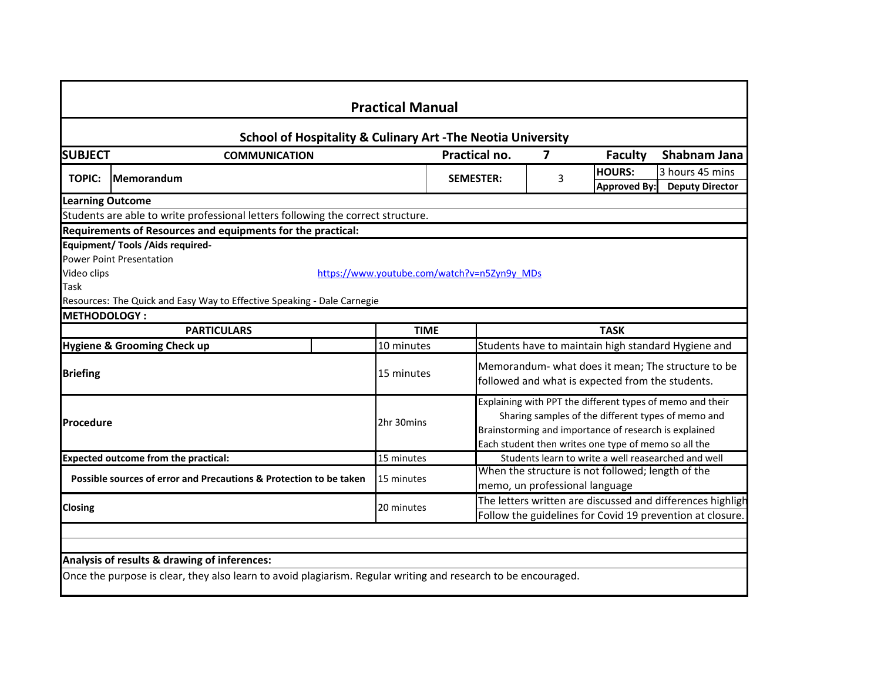| <b>SUBJECT</b>      | <b>COMMUNICATION</b>                                                             |                                             | <b>School of Hospitality &amp; Culinary Art -The Neotia University</b><br>Practical no.                                                                                                                                          | $\overline{\mathbf{z}}$                                    | <b>Faculty</b>                                                                      | Shabnam Jana                                        |  |
|---------------------|----------------------------------------------------------------------------------|---------------------------------------------|----------------------------------------------------------------------------------------------------------------------------------------------------------------------------------------------------------------------------------|------------------------------------------------------------|-------------------------------------------------------------------------------------|-----------------------------------------------------|--|
| <b>TOPIC:</b>       | <b>Memorandum</b>                                                                |                                             | <b>SEMESTER:</b>                                                                                                                                                                                                                 | 3                                                          | <b>HOURS:</b><br><b>Approved By:</b>                                                | 3 hours 45 mins<br><b>Deputy Director</b>           |  |
|                     | <b>Learning Outcome</b>                                                          |                                             |                                                                                                                                                                                                                                  |                                                            |                                                                                     |                                                     |  |
|                     | Students are able to write professional letters following the correct structure. |                                             |                                                                                                                                                                                                                                  |                                                            |                                                                                     |                                                     |  |
|                     | Requirements of Resources and equipments for the practical:                      |                                             |                                                                                                                                                                                                                                  |                                                            |                                                                                     |                                                     |  |
|                     | <b>Equipment/ Tools / Aids required-</b>                                         |                                             |                                                                                                                                                                                                                                  |                                                            |                                                                                     |                                                     |  |
|                     | <b>Power Point Presentation</b>                                                  |                                             |                                                                                                                                                                                                                                  |                                                            |                                                                                     |                                                     |  |
| Video clips         |                                                                                  | https://www.youtube.com/watch?v=n5Zyn9y MDs |                                                                                                                                                                                                                                  |                                                            |                                                                                     |                                                     |  |
| Task                |                                                                                  |                                             |                                                                                                                                                                                                                                  |                                                            |                                                                                     |                                                     |  |
|                     | Resources: The Quick and Easy Way to Effective Speaking - Dale Carnegie          |                                             |                                                                                                                                                                                                                                  |                                                            |                                                                                     |                                                     |  |
| <b>METHODOLOGY:</b> |                                                                                  |                                             |                                                                                                                                                                                                                                  |                                                            |                                                                                     |                                                     |  |
|                     | <b>PARTICULARS</b>                                                               | <b>TIME</b>                                 |                                                                                                                                                                                                                                  |                                                            | <b>TASK</b>                                                                         |                                                     |  |
|                     | <b>Hygiene &amp; Grooming Check up</b>                                           | 10 minutes                                  |                                                                                                                                                                                                                                  |                                                            |                                                                                     | Students have to maintain high standard Hygiene and |  |
| <b>Briefing</b>     |                                                                                  | 15 minutes                                  |                                                                                                                                                                                                                                  |                                                            | followed and what is expected from the students.                                    | Memorandum- what does it mean; The structure to be  |  |
| Procedure           |                                                                                  | 2hr 30mins                                  | Explaining with PPT the different types of memo and their<br>Sharing samples of the different types of memo and<br>Brainstorming and importance of research is explained<br>Each student then writes one type of memo so all the |                                                            |                                                                                     |                                                     |  |
|                     | <b>Expected outcome from the practical:</b>                                      | 15 minutes                                  |                                                                                                                                                                                                                                  |                                                            | Students learn to write a well reasearched and well                                 |                                                     |  |
|                     | Possible sources of error and Precautions & Protection to be taken               | 15 minutes                                  |                                                                                                                                                                                                                                  |                                                            | When the structure is not followed; length of the<br>memo, un professional language |                                                     |  |
|                     |                                                                                  | 20 minutes                                  |                                                                                                                                                                                                                                  | The letters written are discussed and differences highligh |                                                                                     |                                                     |  |
|                     | <b>Closing</b>                                                                   |                                             |                                                                                                                                                                                                                                  | Follow the guidelines for Covid 19 prevention at closure.  |                                                                                     |                                                     |  |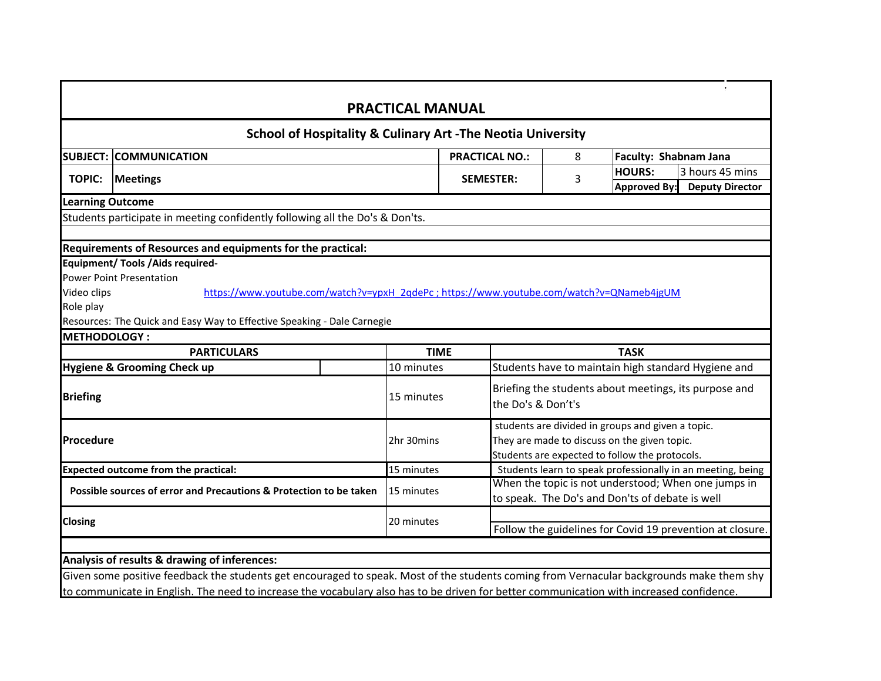| <b>PRACTICAL MANUAL</b>                                                                                                                        |                                                                                                                                                                                                                                                                                      |             |                    |  |                                                                                                                                                     |  |  |  |
|------------------------------------------------------------------------------------------------------------------------------------------------|--------------------------------------------------------------------------------------------------------------------------------------------------------------------------------------------------------------------------------------------------------------------------------------|-------------|--------------------|--|-----------------------------------------------------------------------------------------------------------------------------------------------------|--|--|--|
| <b>School of Hospitality &amp; Culinary Art -The Neotia University</b>                                                                         |                                                                                                                                                                                                                                                                                      |             |                    |  |                                                                                                                                                     |  |  |  |
|                                                                                                                                                | <b>SUBJECT: COMMUNICATION</b><br><b>PRACTICAL NO.:</b><br>Faculty: Shabnam Jana<br>8                                                                                                                                                                                                 |             |                    |  |                                                                                                                                                     |  |  |  |
| 3 hours 45 mins<br><b>HOURS:</b><br>3<br><b>TOPIC:</b><br><b>Meetings</b><br><b>SEMESTER:</b><br><b>Approved By:</b><br><b>Deputy Director</b> |                                                                                                                                                                                                                                                                                      |             |                    |  |                                                                                                                                                     |  |  |  |
| <b>Learning Outcome</b>                                                                                                                        |                                                                                                                                                                                                                                                                                      |             |                    |  |                                                                                                                                                     |  |  |  |
|                                                                                                                                                | Students participate in meeting confidently following all the Do's & Don'ts.                                                                                                                                                                                                         |             |                    |  |                                                                                                                                                     |  |  |  |
|                                                                                                                                                |                                                                                                                                                                                                                                                                                      |             |                    |  |                                                                                                                                                     |  |  |  |
|                                                                                                                                                | Requirements of Resources and equipments for the practical:                                                                                                                                                                                                                          |             |                    |  |                                                                                                                                                     |  |  |  |
| Video clips<br>Role play                                                                                                                       | <b>Equipment/ Tools / Aids required-</b><br><b>Power Point Presentation</b><br>https://www.youtube.com/watch?v=ypxH_2gdePc; https://www.youtube.com/watch?v=QNameb4jgUM<br>Resources: The Quick and Easy Way to Effective Speaking - Dale Carnegie                                   |             |                    |  |                                                                                                                                                     |  |  |  |
| <b>METHODOLOGY:</b>                                                                                                                            |                                                                                                                                                                                                                                                                                      |             |                    |  |                                                                                                                                                     |  |  |  |
|                                                                                                                                                | <b>PARTICULARS</b>                                                                                                                                                                                                                                                                   | <b>TIME</b> |                    |  | <b>TASK</b>                                                                                                                                         |  |  |  |
|                                                                                                                                                | <b>Hygiene &amp; Grooming Check up</b>                                                                                                                                                                                                                                               | 10 minutes  |                    |  | Students have to maintain high standard Hygiene and                                                                                                 |  |  |  |
| <b>Briefing</b>                                                                                                                                |                                                                                                                                                                                                                                                                                      | 15 minutes  | the Do's & Don't's |  | Briefing the students about meetings, its purpose and                                                                                               |  |  |  |
| Procedure                                                                                                                                      |                                                                                                                                                                                                                                                                                      | 2hr 30mins  |                    |  | students are divided in groups and given a topic.<br>They are made to discuss on the given topic.<br>Students are expected to follow the protocols. |  |  |  |
|                                                                                                                                                | <b>Expected outcome from the practical:</b>                                                                                                                                                                                                                                          | 15 minutes  |                    |  | Students learn to speak professionally in an meeting, being                                                                                         |  |  |  |
|                                                                                                                                                | Possible sources of error and Precautions & Protection to be taken                                                                                                                                                                                                                   | 15 minutes  |                    |  | When the topic is not understood; When one jumps in<br>to speak. The Do's and Don'ts of debate is well                                              |  |  |  |
| <b>Closing</b>                                                                                                                                 |                                                                                                                                                                                                                                                                                      | 20 minutes  |                    |  | Follow the guidelines for Covid 19 prevention at closure.                                                                                           |  |  |  |
|                                                                                                                                                |                                                                                                                                                                                                                                                                                      |             |                    |  |                                                                                                                                                     |  |  |  |
|                                                                                                                                                | Analysis of results & drawing of inferences:                                                                                                                                                                                                                                         |             |                    |  |                                                                                                                                                     |  |  |  |
|                                                                                                                                                | Given some positive feedback the students get encouraged to speak. Most of the students coming from Vernacular backgrounds make them shy<br>to communicate in English. The need to increase the vocabulary also has to be driven for better communication with increased confidence. |             |                    |  |                                                                                                                                                     |  |  |  |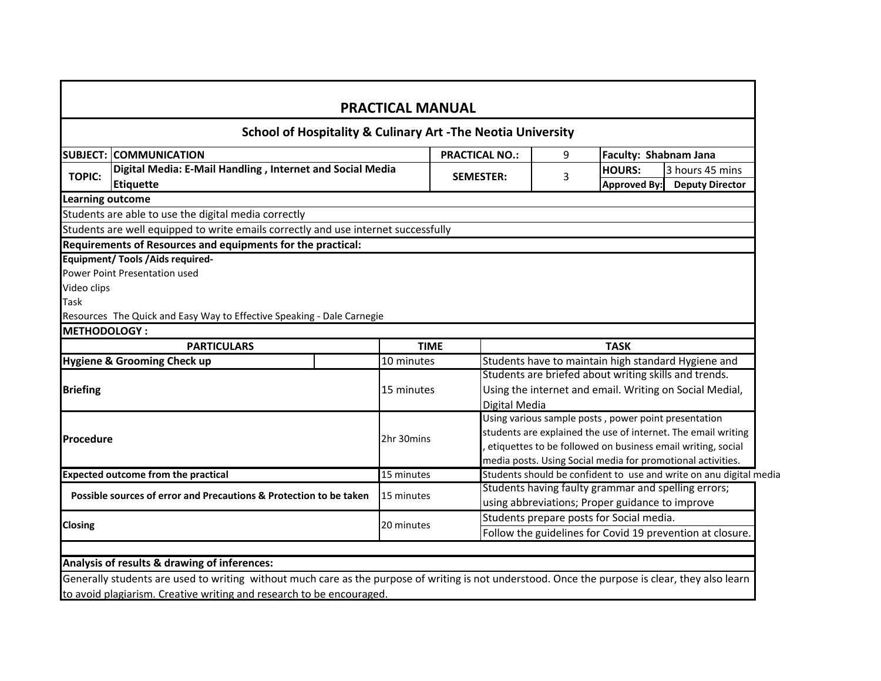|                                                                                                                                                  | <b>PRACTICAL MANUAL</b> |                                                               |                                                                                                                                                                                                                                                     |                                                                                                                  |  |
|--------------------------------------------------------------------------------------------------------------------------------------------------|-------------------------|---------------------------------------------------------------|-----------------------------------------------------------------------------------------------------------------------------------------------------------------------------------------------------------------------------------------------------|------------------------------------------------------------------------------------------------------------------|--|
| <b>School of Hospitality &amp; Culinary Art -The Neotia University</b>                                                                           |                         |                                                               |                                                                                                                                                                                                                                                     |                                                                                                                  |  |
| <b>SUBJECT: COMMUNICATION</b>                                                                                                                    |                         | <b>PRACTICAL NO.:</b>                                         | 9                                                                                                                                                                                                                                                   | Faculty: Shabnam Jana                                                                                            |  |
| Digital Media: E-Mail Handling, Internet and Social Media<br><b>TOPIC:</b><br><b>Etiquette</b>                                                   |                         | <b>HOURS:</b><br>3<br><b>SEMESTER:</b><br><b>Approved By:</b> |                                                                                                                                                                                                                                                     | 3 hours 45 mins<br><b>Deputy Director</b>                                                                        |  |
| <b>Learning outcome</b>                                                                                                                          |                         |                                                               |                                                                                                                                                                                                                                                     |                                                                                                                  |  |
| Students are able to use the digital media correctly                                                                                             |                         |                                                               |                                                                                                                                                                                                                                                     |                                                                                                                  |  |
| Students are well equipped to write emails correctly and use internet successfully                                                               |                         |                                                               |                                                                                                                                                                                                                                                     |                                                                                                                  |  |
| Requirements of Resources and equipments for the practical:                                                                                      |                         |                                                               |                                                                                                                                                                                                                                                     |                                                                                                                  |  |
| Equipment/ Tools / Aids required-<br>Power Point Presentation used<br>Video clips<br>Task                                                        |                         |                                                               |                                                                                                                                                                                                                                                     |                                                                                                                  |  |
| Resources The Quick and Easy Way to Effective Speaking - Dale Carnegie                                                                           |                         |                                                               |                                                                                                                                                                                                                                                     |                                                                                                                  |  |
| <b>METHODOLOGY:</b>                                                                                                                              |                         |                                                               |                                                                                                                                                                                                                                                     |                                                                                                                  |  |
| <b>PARTICULARS</b>                                                                                                                               | <b>TIME</b>             |                                                               |                                                                                                                                                                                                                                                     | <b>TASK</b>                                                                                                      |  |
| <b>Hygiene &amp; Grooming Check up</b>                                                                                                           | 10 minutes              |                                                               |                                                                                                                                                                                                                                                     | Students have to maintain high standard Hygiene and                                                              |  |
| <b>Briefing</b>                                                                                                                                  | 15 minutes              | Digital Media                                                 |                                                                                                                                                                                                                                                     | Students are briefed about writing skills and trends.<br>Using the internet and email. Writing on Social Medial, |  |
| Procedure                                                                                                                                        | 2hr 30mins              |                                                               | Using various sample posts, power point presentation<br>students are explained the use of internet. The email writing<br>etiquettes to be followed on business email writing, social<br>media posts. Using Social media for promotional activities. |                                                                                                                  |  |
| <b>Expected outcome from the practical</b>                                                                                                       | 15 minutes              |                                                               |                                                                                                                                                                                                                                                     | Students should be confident to use and write on anu digital media                                               |  |
| Possible sources of error and Precautions & Protection to be taken                                                                               | 15 minutes              |                                                               |                                                                                                                                                                                                                                                     | Students having faulty grammar and spelling errors;<br>using abbreviations; Proper guidance to improve           |  |
| Closing                                                                                                                                          | 20 minutes              |                                                               |                                                                                                                                                                                                                                                     | Students prepare posts for Social media.<br>Follow the guidelines for Covid 19 prevention at closure.            |  |
| Analysis of results & drawing of inferences:                                                                                                     |                         |                                                               |                                                                                                                                                                                                                                                     |                                                                                                                  |  |
| Generally students are used to writing without much care as the purpose of writing is not understood. Once the purpose is clear, they also learn |                         |                                                               |                                                                                                                                                                                                                                                     |                                                                                                                  |  |
| to avoid plagiarism. Creative writing and research to be encouraged.                                                                             |                         |                                                               |                                                                                                                                                                                                                                                     |                                                                                                                  |  |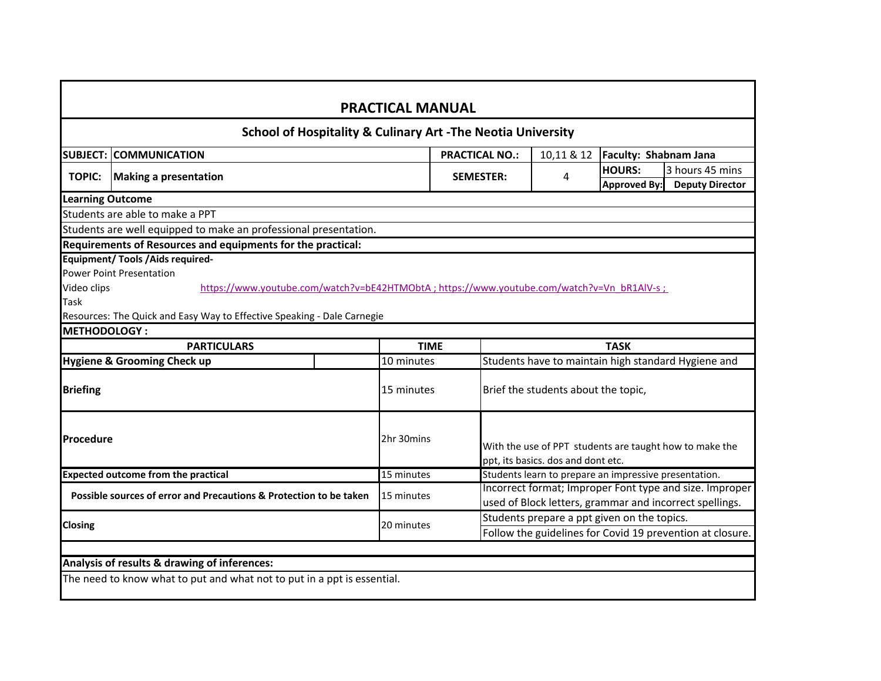| <b>PRACTICAL MANUAL</b>                                                                                 |                                                                                           |             |                  |                                     |                                                                                                                    |  |  |  |
|---------------------------------------------------------------------------------------------------------|-------------------------------------------------------------------------------------------|-------------|------------------|-------------------------------------|--------------------------------------------------------------------------------------------------------------------|--|--|--|
| <b>School of Hospitality &amp; Culinary Art -The Neotia University</b>                                  |                                                                                           |             |                  |                                     |                                                                                                                    |  |  |  |
| <b>SUBJECT:</b><br><b>COMMUNICATION</b><br><b>PRACTICAL NO.:</b><br>10,11 & 12<br>Faculty: Shabnam Jana |                                                                                           |             |                  |                                     |                                                                                                                    |  |  |  |
| <b>TOPIC:</b>                                                                                           | <b>Making a presentation</b>                                                              |             | <b>SEMESTER:</b> | 4                                   | <b>HOURS:</b><br>3 hours 45 mins                                                                                   |  |  |  |
|                                                                                                         |                                                                                           |             |                  |                                     | <b>Approved By:</b><br><b>Deputy Director</b>                                                                      |  |  |  |
|                                                                                                         | <b>Learning Outcome</b>                                                                   |             |                  |                                     |                                                                                                                    |  |  |  |
|                                                                                                         | Students are able to make a PPT                                                           |             |                  |                                     |                                                                                                                    |  |  |  |
|                                                                                                         | Students are well equipped to make an professional presentation.                          |             |                  |                                     |                                                                                                                    |  |  |  |
|                                                                                                         | Requirements of Resources and equipments for the practical:                               |             |                  |                                     |                                                                                                                    |  |  |  |
|                                                                                                         | <b>Equipment/ Tools / Aids required-</b>                                                  |             |                  |                                     |                                                                                                                    |  |  |  |
|                                                                                                         | Power Point Presentation                                                                  |             |                  |                                     |                                                                                                                    |  |  |  |
| Video clips                                                                                             | https://www.youtube.com/watch?v=bE42HTMObtA; https://www.youtube.com/watch?v=Vn_bR1AlV-s; |             |                  |                                     |                                                                                                                    |  |  |  |
| Task                                                                                                    |                                                                                           |             |                  |                                     |                                                                                                                    |  |  |  |
|                                                                                                         | Resources: The Quick and Easy Way to Effective Speaking - Dale Carnegie                   |             |                  |                                     |                                                                                                                    |  |  |  |
| <b>METHODOLOGY:</b>                                                                                     |                                                                                           |             |                  |                                     |                                                                                                                    |  |  |  |
|                                                                                                         | <b>PARTICULARS</b>                                                                        | <b>TIME</b> |                  |                                     | <b>TASK</b>                                                                                                        |  |  |  |
|                                                                                                         |                                                                                           |             |                  |                                     |                                                                                                                    |  |  |  |
|                                                                                                         | <b>Hygiene &amp; Grooming Check up</b>                                                    | 10 minutes  |                  |                                     | Students have to maintain high standard Hygiene and                                                                |  |  |  |
| <b>Briefing</b>                                                                                         |                                                                                           | 15 minutes  |                  | Brief the students about the topic, |                                                                                                                    |  |  |  |
| Procedure                                                                                               |                                                                                           | 2hr 30mins  |                  | ppt, its basics. dos and dont etc.  | With the use of PPT students are taught how to make the                                                            |  |  |  |
|                                                                                                         | <b>Expected outcome from the practical</b>                                                | 15 minutes  |                  |                                     | Students learn to prepare an impressive presentation.                                                              |  |  |  |
|                                                                                                         |                                                                                           |             |                  |                                     |                                                                                                                    |  |  |  |
|                                                                                                         | Possible sources of error and Precautions & Protection to be taken                        | 15 minutes  |                  |                                     | Incorrect format; Improper Font type and size. Improper<br>used of Block letters, grammar and incorrect spellings. |  |  |  |
|                                                                                                         |                                                                                           |             |                  |                                     | Students prepare a ppt given on the topics.                                                                        |  |  |  |
| Closing                                                                                                 |                                                                                           | 20 minutes  |                  |                                     | Follow the guidelines for Covid 19 prevention at closure.                                                          |  |  |  |
|                                                                                                         |                                                                                           |             |                  |                                     |                                                                                                                    |  |  |  |
|                                                                                                         | Analysis of results & drawing of inferences:                                              |             |                  |                                     |                                                                                                                    |  |  |  |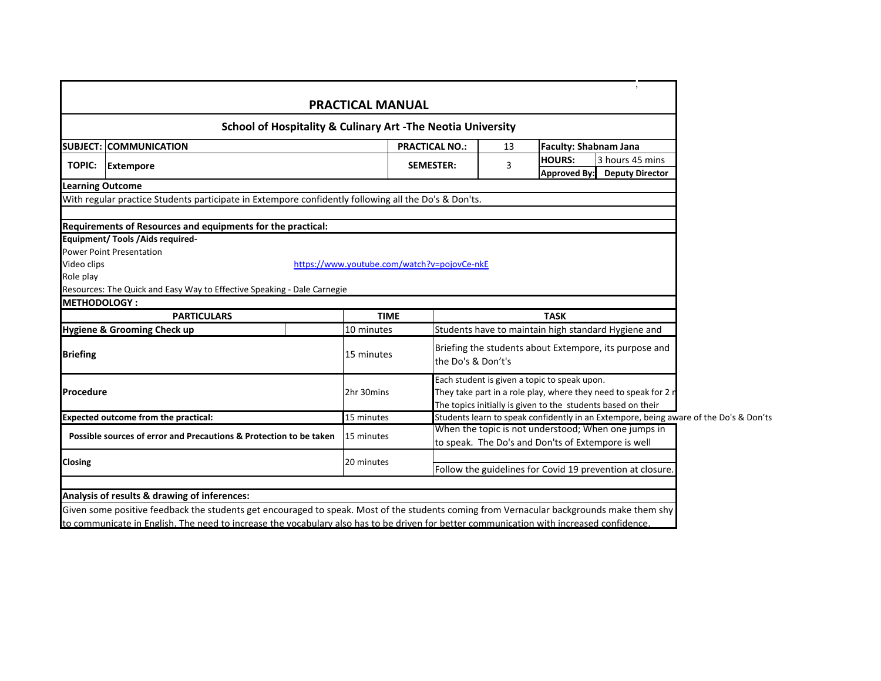|                                                                                                                                          |                                                             | <b>PRACTICAL MANUAL</b>                                                |                                                                              |   |                                                    |                                                                                                                                              |
|------------------------------------------------------------------------------------------------------------------------------------------|-------------------------------------------------------------|------------------------------------------------------------------------|------------------------------------------------------------------------------|---|----------------------------------------------------|----------------------------------------------------------------------------------------------------------------------------------------------|
|                                                                                                                                          |                                                             | <b>School of Hospitality &amp; Culinary Art -The Neotia University</b> |                                                                              |   |                                                    |                                                                                                                                              |
| <b>SUBJECT:</b><br><b>COMMUNICATION</b>                                                                                                  | <b>PRACTICAL NO.:</b><br><b>Faculty: Shabnam Jana</b><br>13 |                                                                        |                                                                              |   |                                                    |                                                                                                                                              |
| <b>TOPIC:</b><br><b>Extempore</b>                                                                                                        |                                                             |                                                                        | <b>SEMESTER:</b>                                                             | 3 | <b>HOURS:</b>                                      | 3 hours 45 mins                                                                                                                              |
|                                                                                                                                          |                                                             |                                                                        |                                                                              |   | <b>Approved By:</b>                                | <b>Deputy Director</b>                                                                                                                       |
| <b>Learning Outcome</b>                                                                                                                  |                                                             |                                                                        |                                                                              |   |                                                    |                                                                                                                                              |
| With regular practice Students participate in Extempore confidently following all the Do's & Don'ts.                                     |                                                             |                                                                        |                                                                              |   |                                                    |                                                                                                                                              |
| Requirements of Resources and equipments for the practical:                                                                              |                                                             |                                                                        |                                                                              |   |                                                    |                                                                                                                                              |
| Equipment/ Tools /Aids required-                                                                                                         |                                                             |                                                                        |                                                                              |   |                                                    |                                                                                                                                              |
| Power Point Presentation                                                                                                                 |                                                             |                                                                        |                                                                              |   |                                                    |                                                                                                                                              |
| Video clips                                                                                                                              |                                                             | https://www.youtube.com/watch?v=pojovCe-nkE                            |                                                                              |   |                                                    |                                                                                                                                              |
| Role play                                                                                                                                |                                                             |                                                                        |                                                                              |   |                                                    |                                                                                                                                              |
| Resources: The Quick and Easy Way to Effective Speaking - Dale Carnegie                                                                  |                                                             |                                                                        |                                                                              |   |                                                    |                                                                                                                                              |
| <b>METHODOLOGY:</b>                                                                                                                      |                                                             |                                                                        |                                                                              |   |                                                    |                                                                                                                                              |
| <b>PARTICULARS</b>                                                                                                                       |                                                             | <b>TIME</b>                                                            |                                                                              |   | <b>TASK</b>                                        |                                                                                                                                              |
| Hygiene & Grooming Check up                                                                                                              |                                                             | 10 minutes                                                             |                                                                              |   |                                                    | Students have to maintain high standard Hygiene and                                                                                          |
| <b>Briefing</b>                                                                                                                          |                                                             | 15 minutes                                                             | Briefing the students about Extempore, its purpose and<br>the Do's & Don't's |   |                                                    |                                                                                                                                              |
|                                                                                                                                          |                                                             |                                                                        |                                                                              |   | Each student is given a topic to speak upon.       |                                                                                                                                              |
| Procedure                                                                                                                                |                                                             | 2hr 30mins                                                             |                                                                              |   |                                                    | They take part in a role play, where they need to speak for 2 r                                                                              |
|                                                                                                                                          |                                                             |                                                                        |                                                                              |   |                                                    | The topics initially is given to the students based on their                                                                                 |
| <b>Expected outcome from the practical:</b>                                                                                              |                                                             | 15 minutes                                                             |                                                                              |   |                                                    | Students learn to speak confidently in an Extempore, being aware of the Do's & Don'ts<br>When the topic is not understood; When one jumps in |
| Possible sources of error and Precautions & Protection to be taken                                                                       |                                                             | 15 minutes                                                             |                                                                              |   | to speak. The Do's and Don'ts of Extempore is well |                                                                                                                                              |
|                                                                                                                                          |                                                             |                                                                        |                                                                              |   |                                                    |                                                                                                                                              |
| Closing                                                                                                                                  |                                                             | 20 minutes                                                             |                                                                              |   |                                                    | Follow the guidelines for Covid 19 prevention at closure.                                                                                    |
|                                                                                                                                          |                                                             |                                                                        |                                                                              |   |                                                    |                                                                                                                                              |
| Analysis of results & drawing of inferences:                                                                                             |                                                             |                                                                        |                                                                              |   |                                                    |                                                                                                                                              |
| Given some positive feedback the students get encouraged to speak. Most of the students coming from Vernacular backgrounds make them shy |                                                             |                                                                        |                                                                              |   |                                                    |                                                                                                                                              |
| to communicate in English. The need to increase the vocabulary also has to be driven for better communication with increased confidence. |                                                             |                                                                        |                                                                              |   |                                                    |                                                                                                                                              |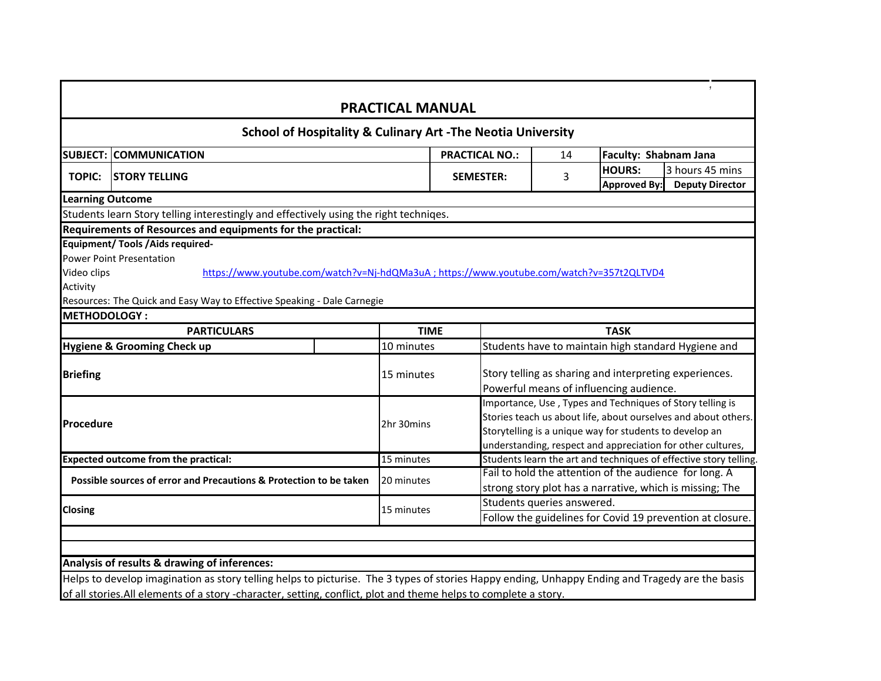| <b>PRACTICAL MANUAL</b>                                                               |                                                                                                                                                 |             |  |                                                                                                                                                                                                                                                       |                                                                                                                    |  |  |  |
|---------------------------------------------------------------------------------------|-------------------------------------------------------------------------------------------------------------------------------------------------|-------------|--|-------------------------------------------------------------------------------------------------------------------------------------------------------------------------------------------------------------------------------------------------------|--------------------------------------------------------------------------------------------------------------------|--|--|--|
| <b>School of Hospitality &amp; Culinary Art -The Neotia University</b>                |                                                                                                                                                 |             |  |                                                                                                                                                                                                                                                       |                                                                                                                    |  |  |  |
| <b>SUBJECT: COMMUNICATION</b><br><b>PRACTICAL NO.:</b><br>Faculty: Shabnam Jana<br>14 |                                                                                                                                                 |             |  |                                                                                                                                                                                                                                                       |                                                                                                                    |  |  |  |
| <b>TOPIC:</b>                                                                         | <b>HOURS:</b><br>3 hours 45 mins<br><b>STORY TELLING</b><br>3<br><b>SEMESTER:</b><br><b>Deputy Director</b><br><b>Approved By:</b>              |             |  |                                                                                                                                                                                                                                                       |                                                                                                                    |  |  |  |
| <b>Learning Outcome</b>                                                               |                                                                                                                                                 |             |  |                                                                                                                                                                                                                                                       |                                                                                                                    |  |  |  |
|                                                                                       | Students learn Story telling interestingly and effectively using the right techniqes.                                                           |             |  |                                                                                                                                                                                                                                                       |                                                                                                                    |  |  |  |
|                                                                                       | Requirements of Resources and equipments for the practical:                                                                                     |             |  |                                                                                                                                                                                                                                                       |                                                                                                                    |  |  |  |
|                                                                                       | <b>Equipment/ Tools / Aids required-</b>                                                                                                        |             |  |                                                                                                                                                                                                                                                       |                                                                                                                    |  |  |  |
|                                                                                       | <b>Power Point Presentation</b>                                                                                                                 |             |  |                                                                                                                                                                                                                                                       |                                                                                                                    |  |  |  |
| Video clips                                                                           | https://www.youtube.com/watch?v=Nj-hdQMa3uA; https://www.youtube.com/watch?v=357t2QLTVD4                                                        |             |  |                                                                                                                                                                                                                                                       |                                                                                                                    |  |  |  |
| Activity                                                                              |                                                                                                                                                 |             |  |                                                                                                                                                                                                                                                       |                                                                                                                    |  |  |  |
|                                                                                       | Resources: The Quick and Easy Way to Effective Speaking - Dale Carnegie                                                                         |             |  |                                                                                                                                                                                                                                                       |                                                                                                                    |  |  |  |
| METHODOLOGY :                                                                         |                                                                                                                                                 |             |  |                                                                                                                                                                                                                                                       |                                                                                                                    |  |  |  |
|                                                                                       | <b>PARTICULARS</b>                                                                                                                              | <b>TIME</b> |  |                                                                                                                                                                                                                                                       | <b>TASK</b>                                                                                                        |  |  |  |
|                                                                                       | Hygiene & Grooming Check up                                                                                                                     | 10 minutes  |  |                                                                                                                                                                                                                                                       | Students have to maintain high standard Hygiene and                                                                |  |  |  |
| <b>Briefing</b>                                                                       |                                                                                                                                                 | 15 minutes  |  |                                                                                                                                                                                                                                                       | Story telling as sharing and interpreting experiences.<br>Powerful means of influencing audience.                  |  |  |  |
| Procedure                                                                             |                                                                                                                                                 | 2hr 30mins  |  | Importance, Use, Types and Techniques of Story telling is<br>Stories teach us about life, about ourselves and about others.<br>Storytelling is a unique way for students to develop an<br>understanding, respect and appreciation for other cultures, |                                                                                                                    |  |  |  |
|                                                                                       | <b>Expected outcome from the practical:</b>                                                                                                     | 15 minutes  |  |                                                                                                                                                                                                                                                       | Students learn the art and techniques of effective story telling                                                   |  |  |  |
|                                                                                       | Possible sources of error and Precautions & Protection to be taken                                                                              | 20 minutes  |  |                                                                                                                                                                                                                                                       | Fail to hold the attention of the audience for long. A<br>strong story plot has a narrative, which is missing; The |  |  |  |
|                                                                                       |                                                                                                                                                 | 15 minutes  |  | Students queries answered.                                                                                                                                                                                                                            |                                                                                                                    |  |  |  |
| <b>Closing</b>                                                                        |                                                                                                                                                 |             |  |                                                                                                                                                                                                                                                       | Follow the guidelines for Covid 19 prevention at closure.                                                          |  |  |  |
|                                                                                       |                                                                                                                                                 |             |  |                                                                                                                                                                                                                                                       |                                                                                                                    |  |  |  |
|                                                                                       |                                                                                                                                                 |             |  |                                                                                                                                                                                                                                                       |                                                                                                                    |  |  |  |
|                                                                                       | Analysis of results & drawing of inferences:                                                                                                    |             |  |                                                                                                                                                                                                                                                       |                                                                                                                    |  |  |  |
|                                                                                       | Helps to develop imagination as story telling helps to picturise. The 3 types of stories Happy ending, Unhappy Ending and Tragedy are the basis |             |  |                                                                                                                                                                                                                                                       |                                                                                                                    |  |  |  |
|                                                                                       | of all stories. All elements of a story -character, setting, conflict, plot and theme helps to complete a story.                                |             |  |                                                                                                                                                                                                                                                       |                                                                                                                    |  |  |  |